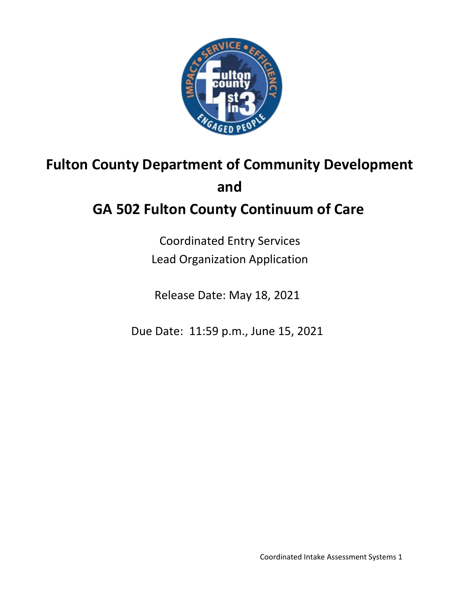

# **Fulton County Department of Community Development and**

## **GA 502 Fulton County Continuum of Care**

Coordinated Entry Services Lead Organization Application

Release Date: May 18, 2021

Due Date: 11:59 p.m., June 15, 2021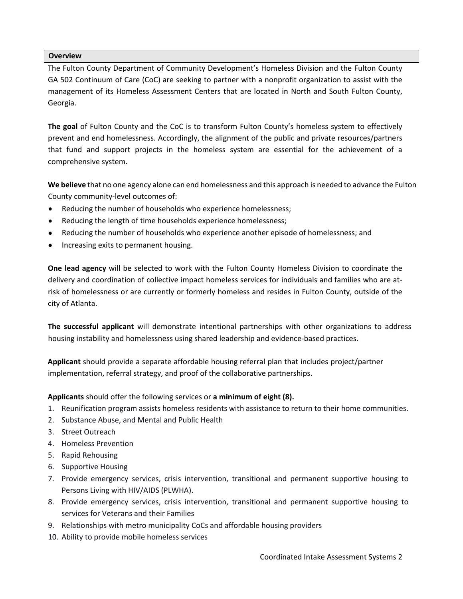#### **Overview**

The Fulton County Department of Community Development's Homeless Division and the Fulton County GA 502 Continuum of Care (CoC) are seeking to partner with a nonprofit organization to assist with the management of its Homeless Assessment Centers that are located in North and South Fulton County, Georgia.

**The goal** of Fulton County and the CoC is to transform Fulton County's homeless system to effectively prevent and end homelessness. Accordingly, the alignment of the public and private resources/partners that fund and support projects in the homeless system are essential for the achievement of a comprehensive system.

**We believe** that no one agency alone can end homelessness and this approach is needed to advance the Fulton County community-level outcomes of:

- Reducing the number of households who experience homelessness;
- Reducing the length of time households experience homelessness;
- Reducing the number of households who experience another episode of homelessness; and
- Increasing exits to permanent housing.

**One lead agency** will be selected to work with the Fulton County Homeless Division to coordinate the delivery and coordination of collective impact homeless services for individuals and families who are atrisk of homelessness or are currently or formerly homeless and resides in Fulton County, outside of the city of Atlanta.

**The successful applicant** will demonstrate intentional partnerships with other organizations to address housing instability and homelessness using shared leadership and evidence-based practices.

**Applicant** should provide a separate affordable housing referral plan that includes project/partner implementation, referral strategy, and proof of the collaborative partnerships.

**Applicants** should offer the following services or **a minimum of eight (8).** 

- 1. Reunification program assists homeless residents with assistance to return to their home communities.
- 2. Substance Abuse, and Mental and Public Health
- 3. Street Outreach
- 4. Homeless Prevention
- 5. Rapid Rehousing
- 6. Supportive Housing
- 7. Provide emergency services, crisis intervention, transitional and permanent supportive housing to Persons Living with HIV/AIDS (PLWHA).
- 8. Provide emergency services, crisis intervention, transitional and permanent supportive housing to services for Veterans and their Families
- 9. Relationships with metro municipality CoCs and affordable housing providers
- 10. Ability to provide mobile homeless services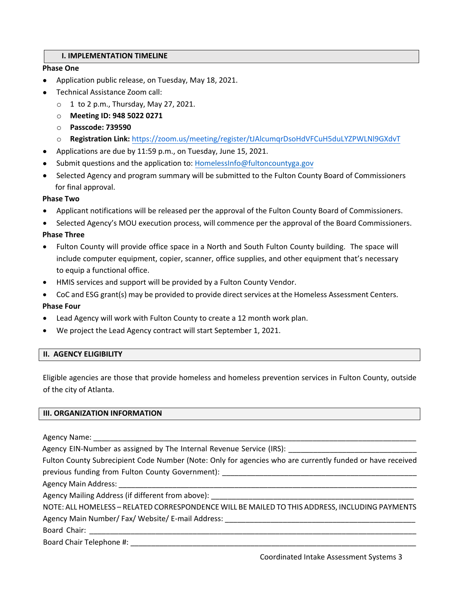#### **I. IMPLEMENTATION TIMELINE**

#### **Phase One**

- Application public release, on Tuesday, May 18, 2021.
- Technical Assistance Zoom call:
	- $\circ$  1 to 2 p.m., Thursday, May 27, 2021.
	- o **Meeting ID: 948 5022 0271**
	- o **Passcode: 739590**
	- o **Registration Link:** <https://zoom.us/meeting/register/tJAlcumqrDsoHdVFCuH5duLYZPWLNl9GXdvT>
- Applications are due by 11:59 p.m., on Tuesday, June 15, 2021.
- Submit questions and the application to: HomelessInfo@fultoncountyga.gov
- Selected Agency and program summary will be submitted to the Fulton County Board of Commissioners for final approval.

#### **Phase Two**

- Applicant notifications will be released per the approval of the Fulton County Board of Commissioners.
- Selected Agency's MOU execution process, will commence per the approval of the Board Commissioners.

#### **Phase Three**

- Fulton County will provide office space in a North and South Fulton County building. The space will include computer equipment, copier, scanner, office supplies, and other equipment that's necessary to equip a functional office.
- HMIS services and support will be provided by a Fulton County Vendor.
- CoC and ESG grant(s) may be provided to provide direct services at the Homeless Assessment Centers.

#### **Phase Four**

- Lead Agency will work with Fulton County to create a 12 month work plan.
- We project the Lead Agency contract will start September 1, 2021.

#### **II. AGENCY ELIGIBILITY**

Eligible agencies are those that provide homeless and homeless prevention services in Fulton County, outside of the city of Atlanta.

#### **III. ORGANIZATION INFORMATION**

Agency Name:

Agency EIN-Number as assigned by The Internal Revenue Service (IRS):

Fulton County Subrecipient Code Number (Note: Only for agencies who are currently funded or have received previous funding from Fulton County Government):

Agency Main Address:

Agency Mailing Address (if different from above): \_\_\_\_\_\_\_\_\_\_\_\_\_\_\_\_\_\_\_\_\_\_\_\_\_\_\_\_\_\_

NOTE: ALL HOMELESS – RELATED CORRESPONDENCE WILL BE MAILED TO THIS ADDRESS, INCLUDING PAYMENTS Agency Main Number/ Fax/ Website/ E-mail Address:

Board Chair:

Board Chair Telephone #: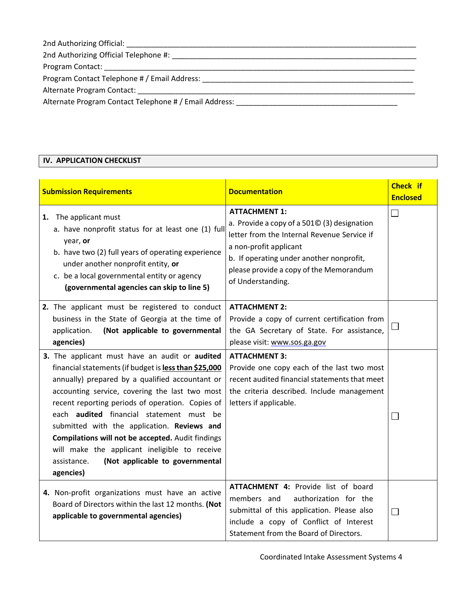| 2nd Authorizing Official:                              |  |
|--------------------------------------------------------|--|
| 2nd Authorizing Official Telephone #:                  |  |
| Program Contact:                                       |  |
| Program Contact Telephone # / Email Address:           |  |
| Alternate Program Contact:                             |  |
| Alternate Program Contact Telephone # / Email Address: |  |

#### **IV. APPLICATION CHECKLIST**

| <b>Submission Requirements</b>                                                                                                                                                                                                                                                                                                                                                                                                                                                                                                          | <b>Documentation</b>                                                                                                                                                                                                                                     | <b>Check if</b><br><b>Enclosed</b> |
|-----------------------------------------------------------------------------------------------------------------------------------------------------------------------------------------------------------------------------------------------------------------------------------------------------------------------------------------------------------------------------------------------------------------------------------------------------------------------------------------------------------------------------------------|----------------------------------------------------------------------------------------------------------------------------------------------------------------------------------------------------------------------------------------------------------|------------------------------------|
| The applicant must<br>1.<br>a. have nonprofit status for at least one (1) full<br>year, or<br>b. have two (2) full years of operating experience<br>under another nonprofit entity, or<br>c. be a local governmental entity or agency<br>(governmental agencies can skip to line 5)                                                                                                                                                                                                                                                     | <b>ATTACHMENT 1:</b><br>a. Provide a copy of a 5010 (3) designation<br>letter from the Internal Revenue Service if<br>a non-profit applicant<br>b. If operating under another nonprofit,<br>please provide a copy of the Memorandum<br>of Understanding. |                                    |
| 2. The applicant must be registered to conduct<br>business in the State of Georgia at the time of<br>(Not applicable to governmental<br>application.<br>agencies)                                                                                                                                                                                                                                                                                                                                                                       | <b>ATTACHMENT 2:</b><br>Provide a copy of current certification from<br>the GA Secretary of State. For assistance,<br>please visit: www.sos.ga.gov                                                                                                       |                                    |
| 3. The applicant must have an audit or audited<br>financial statements (if budget is less than \$25,000<br>annually) prepared by a qualified accountant or<br>accounting service, covering the last two most<br>recent reporting periods of operation. Copies of<br>each <b>audited</b> financial statement must be<br>submitted with the application. Reviews and<br>Compilations will not be accepted. Audit findings<br>will make the applicant ineligible to receive<br>(Not applicable to governmental<br>assistance.<br>agencies) | <b>ATTACHMENT 3:</b><br>Provide one copy each of the last two most<br>recent audited financial statements that meet<br>the criteria described. Include management<br>letters if applicable.                                                              |                                    |
| 4. Non-profit organizations must have an active<br>Board of Directors within the last 12 months. (Not<br>applicable to governmental agencies)                                                                                                                                                                                                                                                                                                                                                                                           | ATTACHMENT 4: Provide list of board<br>authorization for the<br>members and<br>submittal of this application. Please also<br>include a copy of Conflict of Interest<br>Statement from the Board of Directors.                                            |                                    |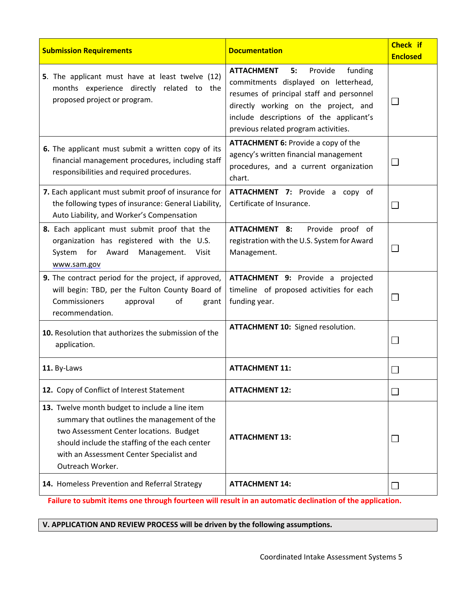| <b>Submission Requirements</b>                                                                                                                                                                                                                             | <b>Documentation</b>                                                                                                                                                                                                                                         | <b>Check if</b><br><b>Enclosed</b> |
|------------------------------------------------------------------------------------------------------------------------------------------------------------------------------------------------------------------------------------------------------------|--------------------------------------------------------------------------------------------------------------------------------------------------------------------------------------------------------------------------------------------------------------|------------------------------------|
| 5. The applicant must have at least twelve (12)<br>months experience directly related to the<br>proposed project or program.                                                                                                                               | Provide<br>funding<br><b>ATTACHMENT</b><br>5:<br>commitments displayed on letterhead,<br>resumes of principal staff and personnel<br>directly working on the project, and<br>include descriptions of the applicant's<br>previous related program activities. | 凵                                  |
| 6. The applicant must submit a written copy of its<br>financial management procedures, including staff<br>responsibilities and required procedures.                                                                                                        | <b>ATTACHMENT 6: Provide a copy of the</b><br>agency's written financial management<br>procedures, and a current organization<br>chart.                                                                                                                      | $\Box$                             |
| 7. Each applicant must submit proof of insurance for<br>the following types of insurance: General Liability,<br>Auto Liability, and Worker's Compensation                                                                                                  | ATTACHMENT 7: Provide a copy of<br>Certificate of Insurance.                                                                                                                                                                                                 | $\Box$                             |
| 8. Each applicant must submit proof that the<br>organization has registered with the U.S.<br>System for Award<br>Management. Visit<br>www.sam.gov                                                                                                          | ATTACHMENT 8:<br>Provide proof of<br>registration with the U.S. System for Award<br>Management.                                                                                                                                                              |                                    |
| 9. The contract period for the project, if approved,<br>will begin: TBD, per the Fulton County Board of<br>Commissioners<br>of<br>approval<br>grant<br>recommendation.                                                                                     | ATTACHMENT 9: Provide a projected<br>timeline of proposed activities for each<br>funding year.                                                                                                                                                               |                                    |
| 10. Resolution that authorizes the submission of the<br>application.                                                                                                                                                                                       | <b>ATTACHMENT 10: Signed resolution.</b>                                                                                                                                                                                                                     |                                    |
| 11. By-Laws                                                                                                                                                                                                                                                | <b>ATTACHMENT 11:</b>                                                                                                                                                                                                                                        |                                    |
| 12. Copy of Conflict of Interest Statement                                                                                                                                                                                                                 | <b>ATTACHMENT 12:</b>                                                                                                                                                                                                                                        | $\Box$                             |
| 13. Twelve month budget to include a line item<br>summary that outlines the management of the<br>two Assessment Center locations. Budget<br>should include the staffing of the each center<br>with an Assessment Center Specialist and<br>Outreach Worker. | <b>ATTACHMENT 13:</b>                                                                                                                                                                                                                                        |                                    |
| 14. Homeless Prevention and Referral Strategy                                                                                                                                                                                                              | <b>ATTACHMENT 14:</b>                                                                                                                                                                                                                                        |                                    |

**Failure to submit items one through fourteen will result in an automatic declination of the application.**

#### **V. APPLICATION AND REVIEW PROCESS will be driven by the following assumptions.**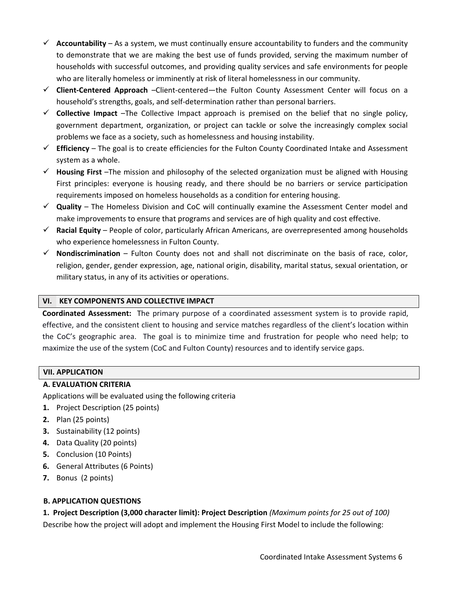- $\checkmark$  **Accountability** As a system, we must continually ensure accountability to funders and the community to demonstrate that we are making the best use of funds provided, serving the maximum number of households with successful outcomes, and providing quality services and safe environments for people who are literally homeless or imminently at risk of literal homelessness in our community.
- **Client-Centered Approach** –Client-centered—the Fulton County Assessment Center will focus on a household's strengths, goals, and self-determination rather than personal barriers.
- $\checkmark$  **Collective Impact** –The Collective Impact approach is premised on the belief that no single policy, government department, organization, or project can tackle or solve the increasingly complex social problems we face as a society, such as homelessness and housing instability.
- **Efficiency**  The goal is to create efficiencies for the Fulton County Coordinated Intake and Assessment system as a whole.
- **Housing First** –The mission and philosophy of the selected organization must be aligned with Housing First principles: everyone is housing ready, and there should be no barriers or service participation requirements imposed on homeless households as a condition for entering housing.
- **Quality**  The Homeless Division and CoC will continually examine the Assessment Center model and make improvements to ensure that programs and services are of high quality and cost effective.
- **Racial Equity**  People of color, particularly African Americans, are overrepresented among households who experience homelessness in Fulton County.
- **Nondiscrimination** Fulton County does not and shall not discriminate on the basis of race, color, religion, gender, gender expression, age, national origin, disability, marital status, sexual orientation, or military status, in any of its activities or operations.

#### **VI. KEY COMPONENTS AND COLLECTIVE IMPACT**

**Coordinated Assessment:** The primary purpose of a coordinated assessment system is to provide rapid, effective, and the consistent client to housing and service matches regardless of the client's location within the CoC's geographic area. The goal is to minimize time and frustration for people who need help; to maximize the use of the system (CoC and Fulton County) resources and to identify service gaps.

#### **VII. APPLICATION**

#### **A. EVALUATION CRITERIA**

Applications will be evaluated using the following criteria

- **1.** Project Description (25 points)
- **2.** Plan (25 points)
- **3.** Sustainability (12 points)
- **4.** Data Quality (20 points)
- **5.** Conclusion (10 Points)
- **6.** General Attributes (6 Points)
- **7.** Bonus (2 points)

#### **B. APPLICATION QUESTIONS**

**1. Project Description (3,000 character limit): Project Description** *(Maximum points for 25 out of 100)* Describe how the project will adopt and implement the Housing First Model to include the following: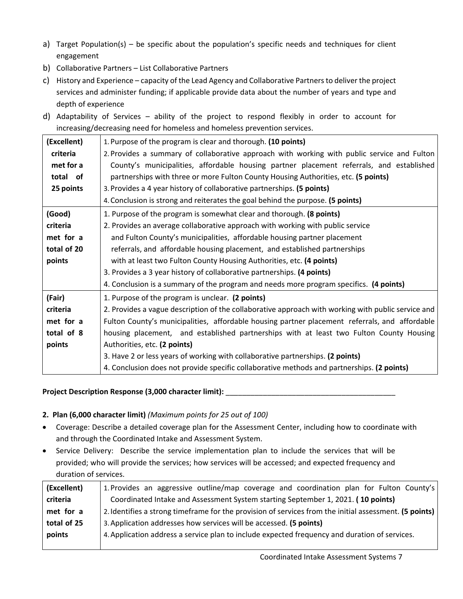- a) Target Population(s) be specific about the population's specific needs and techniques for client engagement
- b) Collaborative Partners List Collaborative Partners
- c) History and Experience capacity of the Lead Agency and Collaborative Partners to deliver the project services and administer funding; if applicable provide data about the number of years and type and depth of experience
- d) Adaptability of Services ability of the project to respond flexibly in order to account for increasing/decreasing need for homeless and homeless prevention services.

| (Excellent) | 1. Purpose of the program is clear and thorough. (10 points)                                       |
|-------------|----------------------------------------------------------------------------------------------------|
| criteria    | 2. Provides a summary of collaborative approach with working with public service and Fulton        |
| met for a   | County's municipalities, affordable housing partner placement referrals, and established           |
| total of    | partnerships with three or more Fulton County Housing Authorities, etc. (5 points)                 |
| 25 points   | 3. Provides a 4 year history of collaborative partnerships. (5 points)                             |
|             | 4. Conclusion is strong and reiterates the goal behind the purpose. (5 points)                     |
| (Good)      | 1. Purpose of the program is somewhat clear and thorough. (8 points)                               |
| criteria    | 2. Provides an average collaborative approach with working with public service                     |
| met for a   | and Fulton County's municipalities, affordable housing partner placement                           |
| total of 20 | referrals, and affordable housing placement, and established partnerships                          |
| points      | with at least two Fulton County Housing Authorities, etc. (4 points)                               |
|             | 3. Provides a 3 year history of collaborative partnerships. (4 points)                             |
|             | 4. Conclusion is a summary of the program and needs more program specifics. (4 points)             |
| (Fair)      | 1. Purpose of the program is unclear. (2 points)                                                   |
| criteria    | 2. Provides a vague description of the collaborative approach with working with public service and |
| met for a   | Fulton County's municipalities, affordable housing partner placement referrals, and affordable     |
| total of 8  | housing placement, and established partnerships with at least two Fulton County Housing            |
| points      | Authorities, etc. (2 points)                                                                       |
|             | 3. Have 2 or less years of working with collaborative partnerships. (2 points)                     |
|             | 4. Conclusion does not provide specific collaborative methods and partnerships. (2 points)         |

#### Project Description Response (3,000 character limit): \_\_\_\_\_\_\_\_\_\_\_\_\_\_\_\_\_\_\_\_\_\_\_\_\_\_

#### **2. Plan (6,000 character limit)** *(Maximum points for 25 out of 100)*

- Coverage: Describe a detailed coverage plan for the Assessment Center, including how to coordinate with and through the Coordinated Intake and Assessment System.
- Service Delivery: Describe the service implementation plan to include the services that will be provided; who will provide the services; how services will be accessed; and expected frequency and duration of services.

| (Excellent) | 1. Provides an aggressive outline/map coverage and coordination plan for Fulton County's               |
|-------------|--------------------------------------------------------------------------------------------------------|
| criteria    | Coordinated Intake and Assessment System starting September 1, 2021. (10 points)                       |
| met for a   | 2. Identifies a strong timeframe for the provision of services from the initial assessment. (5 points) |
| total of 25 | 3. Application addresses how services will be accessed. (5 points)                                     |
| points      | 4. Application address a service plan to include expected frequency and duration of services.          |
|             |                                                                                                        |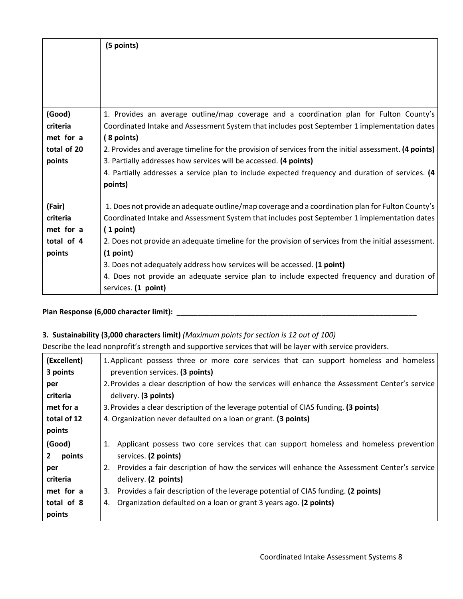|                                                          | (5 points)                                                                                                                                                                                                                                                                                                                                                                                                                                                                                                                        |
|----------------------------------------------------------|-----------------------------------------------------------------------------------------------------------------------------------------------------------------------------------------------------------------------------------------------------------------------------------------------------------------------------------------------------------------------------------------------------------------------------------------------------------------------------------------------------------------------------------|
| (Good)<br>criteria<br>met for a<br>total of 20<br>points | 1. Provides an average outline/map coverage and a coordination plan for Fulton County's<br>Coordinated Intake and Assessment System that includes post September 1 implementation dates<br>(8 points)<br>2. Provides and average timeline for the provision of services from the initial assessment. (4 points)<br>3. Partially addresses how services will be accessed. (4 points)<br>4. Partially addresses a service plan to include expected frequency and duration of services. (4<br>points)                                |
| (Fair)<br>criteria<br>met for a<br>total of 4<br>points  | 1. Does not provide an adequate outline/map coverage and a coordination plan for Fulton County's<br>Coordinated Intake and Assessment System that includes post September 1 implementation dates<br>(1 point)<br>2. Does not provide an adequate timeline for the provision of services from the initial assessment.<br>(1 point)<br>3. Does not adequately address how services will be accessed. (1 point)<br>4. Does not provide an adequate service plan to include expected frequency and duration of<br>services. (1 point) |

### **Plan Response (6,000 character limit): \_\_\_\_\_\_\_\_\_\_\_\_\_\_\_\_\_\_\_\_\_\_\_\_\_\_\_\_\_\_\_\_\_\_\_\_\_\_\_\_\_\_\_\_\_\_\_\_\_\_\_\_\_\_\_\_\_\_**

#### **3. Sustainability (3,000 characters limit)** *(Maximum points for section is 12 out of 100)*

Describe the lead nonprofit's strength and supportive services that will be layer with service providers.

| (Excellent)            | 1. Applicant possess three or more core services that can support homeless and homeless          |  |
|------------------------|--------------------------------------------------------------------------------------------------|--|
| 3 points               | prevention services. (3 points)                                                                  |  |
| per                    | 2. Provides a clear description of how the services will enhance the Assessment Center's service |  |
| criteria               | delivery. (3 points)                                                                             |  |
| met for a              | 3. Provides a clear description of the leverage potential of CIAS funding. (3 points)            |  |
| total of 12            | 4. Organization never defaulted on a loan or grant. (3 points)                                   |  |
| points                 |                                                                                                  |  |
| (Good)                 | Applicant possess two core services that can support homeless and homeless prevention<br>1.      |  |
| $\mathbf{2}$<br>points | services. (2 points)                                                                             |  |
| per                    | 2. Provides a fair description of how the services will enhance the Assessment Center's service  |  |
| criteria               | delivery. (2 points)                                                                             |  |
| met for a              | Provides a fair description of the leverage potential of CIAS funding. (2 points)<br>3.          |  |
| total of 8             | Organization defaulted on a loan or grant 3 years ago. (2 points)<br>4.                          |  |
| points                 |                                                                                                  |  |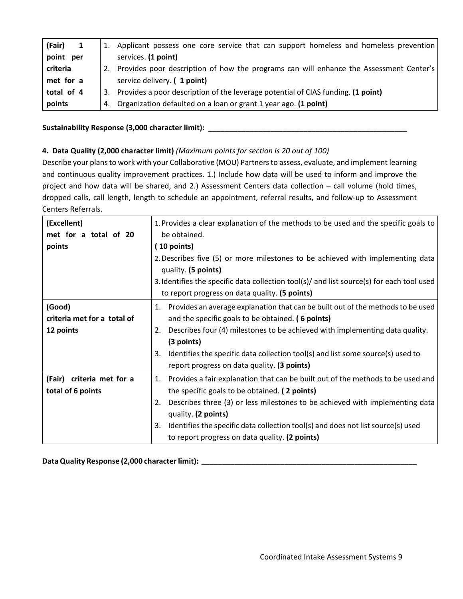| (Fair)<br>$\mathbf{1}$ |    | 1. Applicant possess one core service that can support homeless and homeless prevention |
|------------------------|----|-----------------------------------------------------------------------------------------|
| point per              |    | services. (1 point)                                                                     |
| criteria               | 2. | Provides poor description of how the programs can will enhance the Assessment Center's  |
| met for a              |    | service delivery. (1 point)                                                             |
| total of 4             |    | 3. Provides a poor description of the leverage potential of CIAS funding. (1 point)     |
| points                 |    | 4. Organization defaulted on a loan or grant 1 year ago. (1 point)                      |

#### Sustainability Response (3,000 character limit): \_\_\_\_\_\_\_\_\_\_\_\_\_\_\_\_\_\_\_\_\_\_\_\_\_\_\_\_\_\_\_\_

#### **4. Data Quality (2,000 character limit)** *(Maximum points for section is 20 out of 100)*

Describe your plans to work with your Collaborative (MOU) Partners to assess, evaluate, and implement learning and continuous quality improvement practices. 1.) Include how data will be used to inform and improve the project and how data will be shared, and 2.) Assessment Centers data collection – call volume (hold times, dropped calls, call length, length to schedule an appointment, referral results, and follow-up to Assessment Centers Referrals.

| (Excellent)<br>met for a total of 20               | 1. Provides a clear explanation of the methods to be used and the specific goals to<br>be obtained.                                                                                                                                                                                                                                                                                             |
|----------------------------------------------------|-------------------------------------------------------------------------------------------------------------------------------------------------------------------------------------------------------------------------------------------------------------------------------------------------------------------------------------------------------------------------------------------------|
| points                                             | $(10$ points)<br>2. Describes five (5) or more milestones to be achieved with implementing data<br>quality. (5 points)                                                                                                                                                                                                                                                                          |
|                                                    | 3. Identifies the specific data collection tool(s)/ and list source(s) for each tool used<br>to report progress on data quality. (5 points)                                                                                                                                                                                                                                                     |
| (Good)<br>criteria met for a total of<br>12 points | 1. Provides an average explanation that can be built out of the methods to be used<br>and the specific goals to be obtained. (6 points)<br>Describes four (4) milestones to be achieved with implementing data quality.<br>2.<br>(3 points)<br>Identifies the specific data collection tool(s) and list some source(s) used to<br>3.<br>report progress on data quality. (3 points)             |
| (Fair) criteria met for a<br>total of 6 points     | Provides a fair explanation that can be built out of the methods to be used and<br>1.<br>the specific goals to be obtained. (2 points)<br>Describes three (3) or less milestones to be achieved with implementing data<br>2.<br>quality. (2 points)<br>Identifies the specific data collection tool(s) and does not list source(s) used<br>3.<br>to report progress on data quality. (2 points) |

**Data Quality Response (2,000 character limit): \_\_\_\_\_\_\_\_\_\_\_\_\_\_\_\_\_\_\_\_\_\_\_\_\_\_\_\_\_\_\_\_\_\_\_\_\_\_\_\_\_\_\_\_\_\_\_\_\_\_\_\_**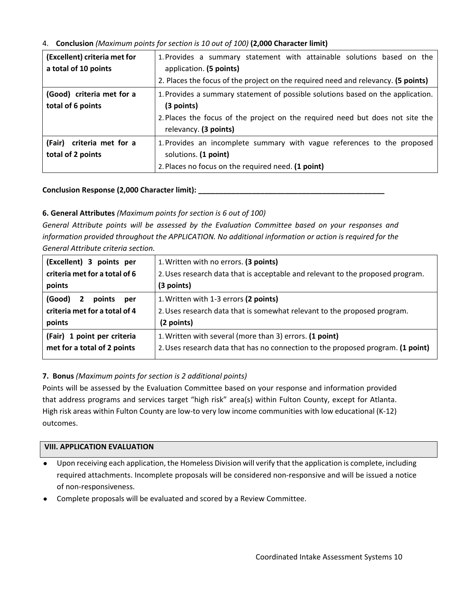#### 4. **Conclusion** *(Maximum points for section is 10 out of 100)* **(2,000 Character limit)**

| (Excellent) criteria met for<br>a total of 10 points | 1. Provides a summary statement with attainable solutions based on the<br>application. (5 points)<br>2. Places the focus of the project on the required need and relevancy. (5 points)                    |  |
|------------------------------------------------------|-----------------------------------------------------------------------------------------------------------------------------------------------------------------------------------------------------------|--|
| (Good) criteria met for a<br>total of 6 points       | 1. Provides a summary statement of possible solutions based on the application.<br>$(3$ points)<br>2. Places the focus of the project on the required need but does not site the<br>relevancy. (3 points) |  |
| (Fair) criteria met for a<br>total of 2 points       | 1. Provides an incomplete summary with vague references to the proposed<br>solutions. (1 point)<br>2. Places no focus on the required need. (1 point)                                                     |  |

Conclusion Response (2,000 Character limit): \_\_\_\_

#### **6. General Attributes** *(Maximum points for section is 6 out of 100)*

*General Attribute points will be assessed by the Evaluation Committee based on your responses and information provided throughout the APPLICATION. No additional information or action is required for the General Attribute criteria section.*

| (Excellent) 3 points per                                                           | 1. Written with no errors. (3 points)                                                                                           |
|------------------------------------------------------------------------------------|---------------------------------------------------------------------------------------------------------------------------------|
| criteria met for a total of 6                                                      | 2. Uses research data that is acceptable and relevant to the proposed program.                                                  |
| points                                                                             | (3 points)                                                                                                                      |
| (Good)<br>$\mathbf{2}$<br>points<br>per<br>criteria met for a total of 4<br>points | 1. Written with 1-3 errors (2 points)<br>2. Uses research data that is somewhat relevant to the proposed program.<br>(2 points) |
| (Fair) 1 point per criteria                                                        | 1. Written with several (more than 3) errors. (1 point)                                                                         |
| met for a total of 2 points                                                        | 2. Uses research data that has no connection to the proposed program. (1 point)                                                 |

#### **7. Bonus** *(Maximum points for section is 2 additional points)*

Points will be assessed by the Evaluation Committee based on your response and information provided that address programs and services target "high risk" area(s) within Fulton County, except for Atlanta. High risk areas within Fulton County are low-to very low income communities with low educational (K-12) outcomes.

#### **VIII. APPLICATION EVALUATION**

- Upon receiving each application, the Homeless Division will verify that the application is complete, including required attachments. Incomplete proposals will be considered non-responsive and will be issued a notice of non-responsiveness.
- Complete proposals will be evaluated and scored by a Review Committee.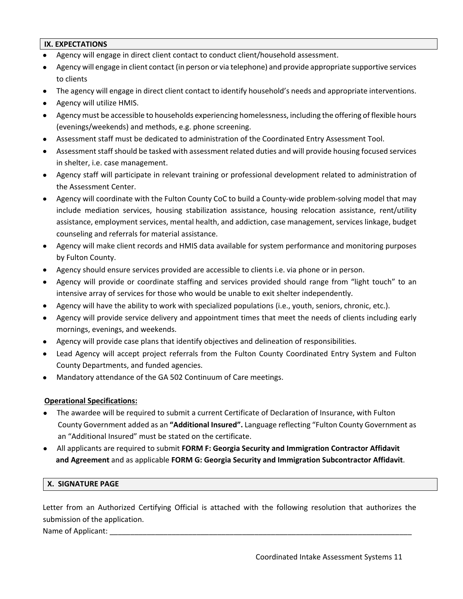#### **IX. EXPECTATIONS**

- Agency will engage in direct client contact to conduct client/household assessment.
- Agency will engage in client contact (in person or via telephone) and provide appropriate supportive services to clients
- The agency will engage in direct client contact to identify household's needs and appropriate interventions.
- Agency will utilize HMIS.
- Agency must be accessible to households experiencing homelessness, including the offering of flexible hours (evenings/weekends) and methods, e.g. phone screening.
- Assessment staff must be dedicated to administration of the Coordinated Entry Assessment Tool.
- Assessment staff should be tasked with assessment related duties and will provide housing focused services in shelter, i.e. case management.
- Agency staff will participate in relevant training or professional development related to administration of the Assessment Center.
- Agency will coordinate with the Fulton County CoC to build a County-wide problem-solving model that may include mediation services, housing stabilization assistance, housing relocation assistance, rent/utility assistance, employment services, mental health, and addiction, case management, services linkage, budget counseling and referrals for material assistance.
- Agency will make client records and HMIS data available for system performance and monitoring purposes by Fulton County.
- Agency should ensure services provided are accessible to clients i.e. via phone or in person.
- Agency will provide or coordinate staffing and services provided should range from "light touch" to an intensive array of services for those who would be unable to exit shelter independently.
- Agency will have the ability to work with specialized populations (i.e., youth, seniors, chronic, etc.).
- Agency will provide service delivery and appointment times that meet the needs of clients including early mornings, evenings, and weekends.
- Agency will provide case plans that identify objectives and delineation of responsibilities.
- Lead Agency will accept project referrals from the Fulton County Coordinated Entry System and Fulton County Departments, and funded agencies.
- Mandatory attendance of the GA 502 Continuum of Care meetings.

#### **Operational Specifications:**

- The awardee will be required to submit a current Certificate of Declaration of Insurance, with Fulton County Government added as an **"Additional Insured".** Language reflecting "Fulton County Government as an "Additional Insured" must be stated on the certificate.
- All applicants are required to submit **FORM F: Georgia Security and Immigration Contractor Affidavit and Agreement** and as applicable **FORM G: Georgia Security and Immigration Subcontractor Affidavit**.

#### **X. SIGNATURE PAGE**

Letter from an Authorized Certifying Official is attached with the following resolution that authorizes the submission of the application.

Name of Applicant: \_\_\_\_\_\_\_\_\_\_\_\_\_\_\_\_\_\_\_\_\_\_\_\_\_\_\_\_\_\_\_\_\_\_\_\_\_\_\_\_\_\_\_\_\_\_\_\_\_\_\_\_\_\_\_\_\_\_\_\_\_\_\_\_\_\_\_\_\_\_\_\_\_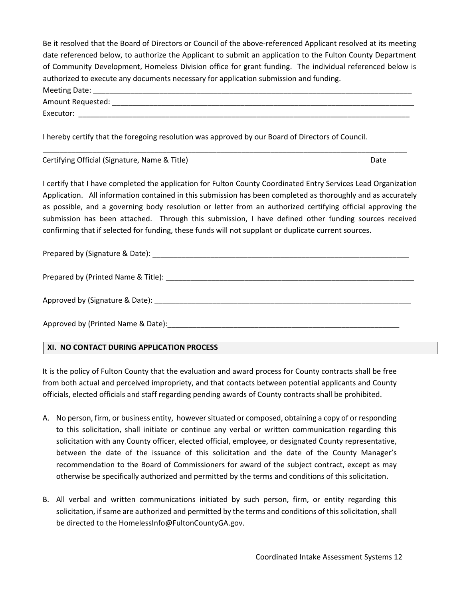Be it resolved that the Board of Directors or Council of the above-referenced Applicant resolved at its meeting date referenced below, to authorize the Applicant to submit an application to the Fulton County Department of Community Development, Homeless Division office for grant funding. The individual referenced below is authorized to execute any documents necessary for application submission and funding. Meeting Date: Amount Requested: \_\_\_\_\_\_\_\_\_\_\_\_\_\_\_\_\_\_\_\_\_\_\_\_\_\_\_\_\_\_\_\_\_\_\_\_\_\_\_\_\_\_\_\_\_\_\_\_\_\_\_\_\_\_\_\_\_\_\_\_\_\_\_\_\_\_\_\_\_\_\_\_\_ Executor: \_\_\_\_\_\_\_\_\_\_\_\_\_\_\_\_\_\_\_\_\_\_\_\_\_\_\_\_\_\_\_\_\_\_\_\_\_\_\_\_\_\_\_\_\_\_\_\_\_\_\_\_\_\_\_\_\_\_\_\_\_\_\_\_\_\_\_\_\_\_\_\_\_\_\_\_\_\_\_\_

I hereby certify that the foregoing resolution was approved by our Board of Directors of Council.

Certifying Official (Signature, Name & Title) **Date and Containers** Date Date Date

I certify that I have completed the application for Fulton County Coordinated Entry Services Lead Organization Application. All information contained in this submission has been completed as thoroughly and as accurately as possible, and a governing body resolution or letter from an authorized certifying official approving the submission has been attached. Through this submission, I have defined other funding sources received confirming that if selected for funding, these funds will not supplant or duplicate current sources.

\_\_\_\_\_\_\_\_\_\_\_\_\_\_\_\_\_\_\_\_\_\_\_\_\_\_\_\_\_\_\_\_\_\_\_\_\_\_\_\_\_\_\_\_\_\_\_\_\_\_\_\_\_\_\_\_\_\_\_\_\_\_\_\_\_\_\_\_\_\_\_\_\_\_\_\_\_\_\_\_\_\_\_\_\_\_\_\_

Prepared by (Signature & Date): \_\_\_\_\_\_\_\_\_\_\_\_\_\_\_\_\_\_\_\_\_\_\_\_\_\_\_\_\_\_\_\_\_\_\_\_\_\_\_\_\_\_\_\_\_\_\_\_\_\_\_\_\_\_\_\_\_\_\_\_\_\_

Prepared by (Printed Name & Title): \_\_\_\_\_\_\_\_\_\_\_\_\_\_\_\_\_\_\_\_\_\_\_\_\_\_\_\_\_\_\_\_\_\_\_\_\_\_\_\_\_\_\_\_\_\_\_\_\_\_\_\_\_\_\_\_\_\_\_\_

Approved by (Signature & Date):

Approved by (Printed Name & Date):

#### **XI. NO CONTACT DURING APPLICATION PROCESS**

It is the policy of Fulton County that the evaluation and award process for County contracts shall be free from both actual and perceived impropriety, and that contacts between potential applicants and County officials, elected officials and staff regarding pending awards of County contracts shall be prohibited.

- A. No person, firm, or business entity, however situated or composed, obtaining a copy of or responding to this solicitation, shall initiate or continue any verbal or written communication regarding this solicitation with any County officer, elected official, employee, or designated County representative, between the date of the issuance of this solicitation and the date of the County Manager's recommendation to the Board of Commissioners for award of the subject contract, except as may otherwise be specifically authorized and permitted by the terms and conditions of this solicitation.
- B. All verbal and written communications initiated by such person, firm, or entity regarding this solicitation, if same are authorized and permitted by the terms and conditions of this solicitation, shall be directed to the HomelessInfo@FultonCountyGA.gov.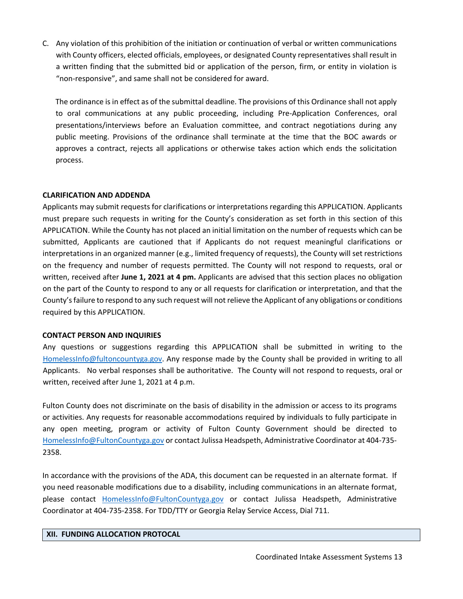C. Any violation of this prohibition of the initiation or continuation of verbal or written communications with County officers, elected officials, employees, or designated County representatives shall result in a written finding that the submitted bid or application of the person, firm, or entity in violation is "non-responsive", and same shall not be considered for award.

The ordinance is in effect as of the submittal deadline. The provisions of this Ordinance shall not apply to oral communications at any public proceeding, including Pre-Application Conferences, oral presentations/interviews before an Evaluation committee, and contract negotiations during any public meeting. Provisions of the ordinance shall terminate at the time that the BOC awards or approves a contract, rejects all applications or otherwise takes action which ends the solicitation process.

#### **CLARIFICATION AND ADDENDA**

Applicants may submit requests for clarifications or interpretations regarding this APPLICATION. Applicants must prepare such requests in writing for the County's consideration as set forth in this section of this APPLICATION. While the County has not placed an initial limitation on the number of requests which can be submitted, Applicants are cautioned that if Applicants do not request meaningful clarifications or interpretations in an organized manner (e.g., limited frequency of requests), the County will set restrictions on the frequency and number of requests permitted. The County will not respond to requests, oral or written, received after **June 1, 2021 at 4 pm.** Applicants are advised that this section places no obligation on the part of the County to respond to any or all requests for clarification or interpretation, and that the County's failure to respond to any such request will not relieve the Applicant of any obligations or conditions required by this APPLICATION.

#### **CONTACT PERSON AND INQUIRIES**

Any questions or suggestions regarding this APPLICATION shall be submitted in writing to the [HomelessInfo@fultoncountyga.gov.](mailto:HomelessInfo@fultoncountyga.gov) Any response made by the County shall be provided in writing to all Applicants. No verbal responses shall be authoritative. The County will not respond to requests, oral or written, received after June 1, 2021 at 4 p.m.

Fulton County does not discriminate on the basis of disability in the admission or access to its programs or activities. Any requests for reasonable accommodations required by individuals to fully participate in any open meeting, program or activity of Fulton County Government should be directed to [HomelessInfo@FultonCountyga.gov](mailto:HomelessInfo@FultonCountyga.gov) or contact Julissa Headspeth, Administrative Coordinator at 404-735- 2358.

In accordance with the provisions of the ADA, this document can be requested in an alternate format. If you need reasonable modifications due to a disability, including communications in an alternate format, please contact [HomelessInfo@FultonCountyga.gov](mailto:HomelessInfo@FultonCountyga.gov) or contact Julissa Headspeth, Administrative Coordinator at 404-735-2358. For TDD/TTY or Georgia Relay Service Access, Dial 711.

#### **XII. FUNDING ALLOCATION PROTOCAL**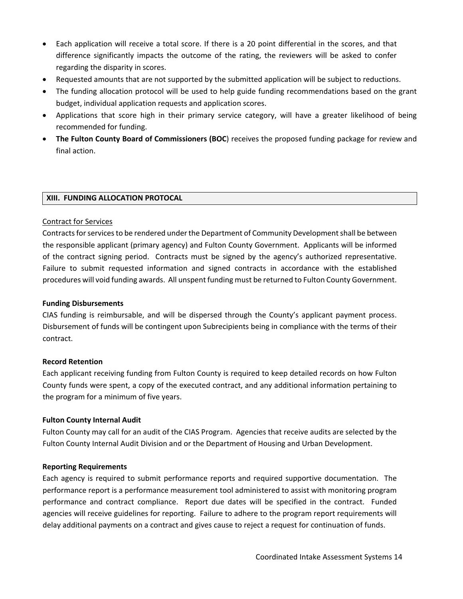- Each application will receive a total score. If there is a 20 point differential in the scores, and that difference significantly impacts the outcome of the rating, the reviewers will be asked to confer regarding the disparity in scores.
- Requested amounts that are not supported by the submitted application will be subject to reductions.
- The funding allocation protocol will be used to help guide funding recommendations based on the grant budget, individual application requests and application scores.
- Applications that score high in their primary service category, will have a greater likelihood of being recommended for funding.
- **The Fulton County Board of Commissioners (BOC**) receives the proposed funding package for review and final action.

#### **XIII. FUNDING ALLOCATION PROTOCAL**

#### Contract for Services

Contracts for services to be rendered under the Department of Community Development shall be between the responsible applicant (primary agency) and Fulton County Government. Applicants will be informed of the contract signing period. Contracts must be signed by the agency's authorized representative. Failure to submit requested information and signed contracts in accordance with the established procedures will void funding awards. All unspent funding must be returned to Fulton County Government.

#### **Funding Disbursements**

CIAS funding is reimbursable, and will be dispersed through the County's applicant payment process. Disbursement of funds will be contingent upon Subrecipients being in compliance with the terms of their contract.

#### **Record Retention**

Each applicant receiving funding from Fulton County is required to keep detailed records on how Fulton County funds were spent, a copy of the executed contract, and any additional information pertaining to the program for a minimum of five years.

#### **Fulton County Internal Audit**

Fulton County may call for an audit of the CIAS Program. Agencies that receive audits are selected by the Fulton County Internal Audit Division and or the Department of Housing and Urban Development.

#### **Reporting Requirements**

Each agency is required to submit performance reports and required supportive documentation. The performance report is a performance measurement tool administered to assist with monitoring program performance and contract compliance. Report due dates will be specified in the contract. Funded agencies will receive guidelines for reporting. Failure to adhere to the program report requirements will delay additional payments on a contract and gives cause to reject a request for continuation of funds.